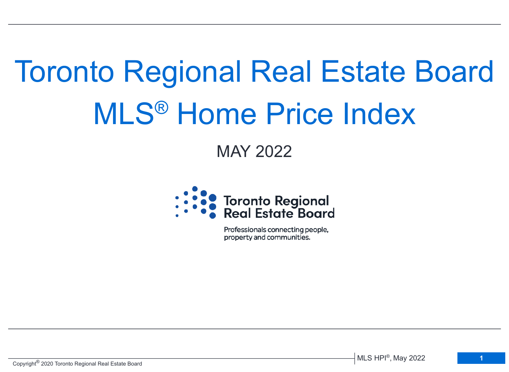# Toronto Regional Real Estate Board MLS® Home Price Index

MAY 2022



Professionals connecting people, property and communities.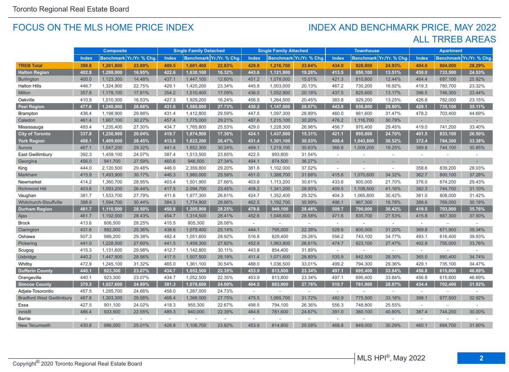#### FOCUS ON THE MLS HOME PRICE INDEX

## ALL TRREB AREAS INDEX AND BENCHMARK PRICE, MAY 2022

|                                  | <b>Composite</b> |           |                          | <b>Single Family Detached</b> |           |                          | <b>Single Family Attached</b> |           |                          | <b>Townhouse</b> |                  |                | <b>Apartment</b> |         |                         |
|----------------------------------|------------------|-----------|--------------------------|-------------------------------|-----------|--------------------------|-------------------------------|-----------|--------------------------|------------------|------------------|----------------|------------------|---------|-------------------------|
|                                  | <b>Index</b>     |           | Benchmark Yr./Yr. % Chq. | Index                         |           | Benchmark Yr./Yr. % Chq. | Index                         |           | Benchmark Yr./Yr. % Chg. | <b>Index</b>     | <b>Benchmark</b> | Yr./Yr. % Chq. | <b>Index</b>     |         | Benchmark Yr./Yr. % Chg |
| <b>TREB Total</b>                | 398.8            | 1,261,800 | 23.89%                   | 409.5                         | 1,601,400 | 22.83%                   | 428.9                         | 1.216.700 | 23.64%                   | 434.0            | 928,800          | 24.93%         | 404.0            | 804.000 | 28.29%                  |
| <b>Halton Region</b>             | 402.9            | 1,288,000 | 16.95%                   | 422.6                         | 1,630,100 | 16.32%                   | 443.6                         | 1,121,800 | 19.28%                   | 413.5            | 850,100          | 13.51%         | 430.0            | 733,500 | 24.53%                  |
| <b>Burlington</b>                | 400.0            | 1,123,300 | 14.48%                   | 437.1                         | 1,447,100 | 12.60%                   | 451.2                         | 1,078,000 | 15.51%                   | 421.3            | 810,600          | 12.44%         | 464.4            | 697,100 | 25.92%                  |
| <b>Halton Hills</b>              | 446.7            | 1,324,900 | 22.75%                   | 429.1                         | 1,420,200 | 23.34%                   | 445.8                         | 1,003,000 | 20.13%                   | 467.2            | 730,200          | 16.92%         | 419.3            | 780,700 | 23.32%                  |
| Milton                           | 357.8            | 1,178,100 | 17.81%                   | 354.2                         | 1,510,400 | 17.09%                   | 436.0                         | 1,052,900 | 20.18%                   | 437.5            | 825,600          | 13.17%         | 396.5            | 746,300 | 23.44%                  |
| Oakville                         | 410.9            | 1,510,300 | 16.53%                   | 427.3                         | 1,929,200 | 16.24%                   | 456.5                         | 1,264,500 | 20.45%                   | 383.8            | 929,200          | 13.25%         | 426.6            | 782,000 | 23.15%                  |
| <b>Peel Region</b>               | 477.6            | 1,240,900 | 28.66%                   | 431.6                         | 1,580,000 | 27.73%                   | 430.2                         | 1,147,800 | 28.07%                   | 443.9            | 938,800          | 29.80%         | 429.1            | 735,100 | 35.11%                  |
| <b>Brampton</b>                  | 436.4            | 1,198,900 | 29.88%                   | 431.4                         | 1,412,800 | 29.59%                   | 447.5                         | 1,097,300 | 28.89%                   | 460.0            | 861,600          | 31.47%         | 478.2            | 703,400 | 44.69%                  |
| Caledon                          | 461.4            | 1,667,100 | 30.27%                   | 457.4                         | 1,775,000 | 29.21%                   | 487.6                         | 1,215,100 | 30.20%                   | 476.2            | 1,116,700        | 30.79%         | ×,               |         |                         |
| Mississauga                      | 493.4            | 1,235,400 | 27.30%                   | 434.7                         | 1,765,800 | 25.53%                   | 429.0                         | 1,228,300 | 26.96%                   | 456.7            | 970,400          | 29.45%         | 419.0            | 741,200 | 33.40%                  |
| <b>City of Toronto</b>           | 337.8            | 1,230,900 | 20.04%                   | 419.7                         | 1,874,900 | 17.30%                   | 424.1                         | 1,437,600 | 15.31%                   | 421.1            | 995,000          | 24.70%         | 401.5            | 833,100 | 26.50%                  |
| <b>York Region</b>               | 408.1            | 1,499,600 | 28.45%                   | 413.8                         | 1,822,200 | 26.47%                   | 431.4                         | 1,301,100 | 30.53%                   | 408.4            | 1,043,800        | 30.52%         | 372.4            | 784,300 | 33.38%                  |
| Aurora                           | 467.1            | 1,547,200 | 29.32%                   | 441.4                         | 1,852,300 | 30.24%                   | 469.1                         | 1,219,100 | 30.63%                   | 366.8            | 1,009,200        | 19.25%         | 389.8            | 744,100 | 30.85%                  |
| East Gwillimbury                 | 392.3            | 1,459,100 | 24.07%                   | 387.4                         | 1,513,500 | 23.85%                   | 422.5                         | 993,800   | 31.54%                   | $\sim$           | ÷.               | ÷.             | $\sim$           | $\sim$  |                         |
| Georgina                         | 456.0            | 941,700   | 27.59%                   | 460.6                         | 946,500   | 27.34%                   | 494.1                         | 874,500   | 36.27%                   | ٠                |                  |                |                  |         |                         |
| King                             | 444.0            | 2,120,500 | 29.48%                   | 446.0                         | 2,359,800 | 29.20%                   | 381.6                         | 1,102,000 | 37.02%                   | ÷                |                  | $\sim$         | 358.6            | 839,200 | 28.03%                  |
| Markham                          | 415.9            | 1,493,900 | 30.17%                   | 446.3                         | 1,980,000 | 25.58%                   | 451.0                         | 1,388,700 | 31.68%                   | 415.6            | 1,070,600        | 34.32%         | 362.7            | 800,100 | 37.28%                  |
| Newmarket                        | 414.2            | 1,360,700 | 28.95%                   | 403.4                         | 1,501,900 | 27.66%                   | 403.6                         | 1,113,200 | 30.61%                   | 433.6            | 905,000          | 21.70%         | 376.0            | 674,200 | 29.43%                  |
| <b>Richmond Hill</b>             | 403.6            | 1,593,200 | 26.44%                   | 417.5                         | 2,094,700 | 23.45%                   | 408.2                         | 1,341,200 | 28.93%                   | 409.5            | 1,108,500        | 41.16%         | 382.3            | 744,700 | 31.10%                  |
| Vaughan                          | 381.7            | 1,533,700 | 27.79%                   | 411.6                         | 1,977,300 | 26.61%                   | 424.7                         | 1,352,400 | 29.32%                   | 404.3            | 1,065,800        | 30.42%         | 361.0            | 808,000 | 31.42%                  |
| Whitchurch-Stouffville           | 398.9            | 1,594,700 | 30.44%                   | 384.3                         | 1,774,900 | 28.66%                   | 462.5                         | 1,192,700 | 35.99%                   | 496.1            | 967,300          | 16.78%         | 388.6            | 769,000 | 30.18%                  |
| <b>Durham Region</b>             | 461.7            | 1,110,500 | 28.50%                   | 450.8                         | 1,205,900 | 28.25%                   | 479.6                         | 949,100   | 28.48%                   | 509.7            | 790,000          | 30.42%         | 419.5            | 703,000 | 35.76%                  |
| Ajax                             | 461.7            | 1,192,000 | 28.43%                   | 454.7                         | 1,314,500 | 28.41%                   | 452.6                         | 1,048,600 | 28.58%                   | 471.6            | 835,700          | 27.53%         | 415.8            | 687,300 | 37.50%                  |
| <b>Brock</b>                     | 413.6            | 806,500   | 28.25%                   | 415.5                         | 805,300   | 28.08%                   | $\sim$                        | $\sim$    | $\omega$                 | $\sim$           | $\sim$           | $\sim$         | $\sim$           | $\sim$  |                         |
| Clarington                       | 431.6            | 982,000   | 25.36%                   | 438.6                         | 1,079,400 | 25.14%                   | 444.1                         | 795,000   | 22.38%                   | 528.6            | 805,000          | 31.20%         | 369.8            | 671,900 | 39.34%                  |
| Oshawa                           | 507.3            | 986,200   | 29.38%                   | 482.4                         | 1,051,600 | 28.92%                   | 516.8                         | 829,400   | 29.26%                   | 556.2            | 743,100          | 34.77%         | 493.1            | 616,400 | 39.93%                  |
| Pickering                        | 441.0            | 1,228,500 | 27.60%                   | 441.5                         | 1,459,300 | 27.82%                   | 452.9                         | 1,063,800 | 26.61%                   | 474.7            | 823,100          | 27.47%         | 402.9            | 755,000 | 33.76%                  |
| Scugog                           | 415.3            | 1,131,600 | 29.98%                   | 412.7                         | 1,142,800 | 30.11%                   | 443.8                         | 854,400   | 31.89%                   | $\omega$         | ÷                | $\sim$         | $\omega$         | $\sim$  |                         |
| Uxbridge                         | 440.2            | 1,447,900 | 28.56%                   | 417.5                         | 1,507,500 | 28.19%                   | 411.4                         | 1,071,600 | 28.80%                   | 535.9            | 842,500          | 28.30%         | 365.0            | 880,400 | 34.74%                  |
| Whitby                           | 472.9            | 1,245,100 | 31.32%                   | 465.0                         | 1,361,100 | 30.54%                   | 488.0                         | 1,036,500 | 33.01%                   | 499.2            | 794,300          | 29.36%         | 429.1            | 735,100 | 34.47%                  |
| <b>Dufferin County</b>           | 440.1            | 923,300   | 23.07%                   | 434.7                         | 1,052,500 | 22.35%                   | 453.9                         | 813,800   | 23.34%                   | 497.1            | 695,400          | 33.84%         | 456.8            | 615,800 | 46.69%                  |
| Orangeville                      | 440.1            | 923,300   | 23.07%                   | 434.7                         | 1,052,500 | 22.35%                   | 453.9                         | 813,800   | 23.34%                   | 497.1            | 695,400          | 33.84%         | 456.8            | 615,800 | 46.69%                  |
| <b>Simcoe County</b>             | 379.3            | 1,027,600 | 24.89%                   | 381.3                         | 1.078.600 | 24.00%                   | 404.5                         | 883,900   | 27.76%                   | 510.7            | 761,900          | 28.87%         | 434.4            | 702.400 | 31.92%                  |
| Adjala-Tosorontio                | 457.5            | 1,285,700 | 24.66%                   | 458.0                         | 1,287,000 | 24.73%                   | $\sim$                        | ÷         | $\sim$                   | $\sim$           |                  | $\sim$         | $\sim$           |         |                         |
| <b>Bradford West Gwillimbury</b> | 467.8            | 1.303.300 | 29.58%                   | 466.4                         | 1,368,000 | 27.75%                   | 475.5                         | 1.065.700 | 31.72%                   | 482.9            | 775,500          | 33.18%         | 398.1            | 677,500 | 32.92%                  |
| Essa                             | 427.5            | 901,100   | 24.02%                   | 418.3                         | 955,300   | 22.67%                   | 498.5                         | 794,100   | 26.36%                   | 556.3            | 748,800          | 25.55%         | $\sim$           | ÷.      |                         |
| Innisfil                         | 486.4            | 933,900   | 22.55%                   | 489.3                         | 940,000   | 22.39%                   | 484.6                         | 781,600   | 24.67%                   | 391.0            | 360,100          | 40.80%         | 387.4            | 744,200 | 30.00%                  |
| Barrie                           |                  | $\sim$    | ä,                       |                               |           |                          | $\sim$                        |           |                          | ÷                |                  | $\sim$         | $\sim$           |         |                         |
| New Tecumseth                    | 430.8            | 986,000   | 25.01%                   | 428.8                         | 1,106,700 | 23.82%                   | 453.9                         | 814,800   | 25.08%                   | 468.8            | 849,000          | 30.29%         | 460.1            | 684,700 | 31.80%                  |